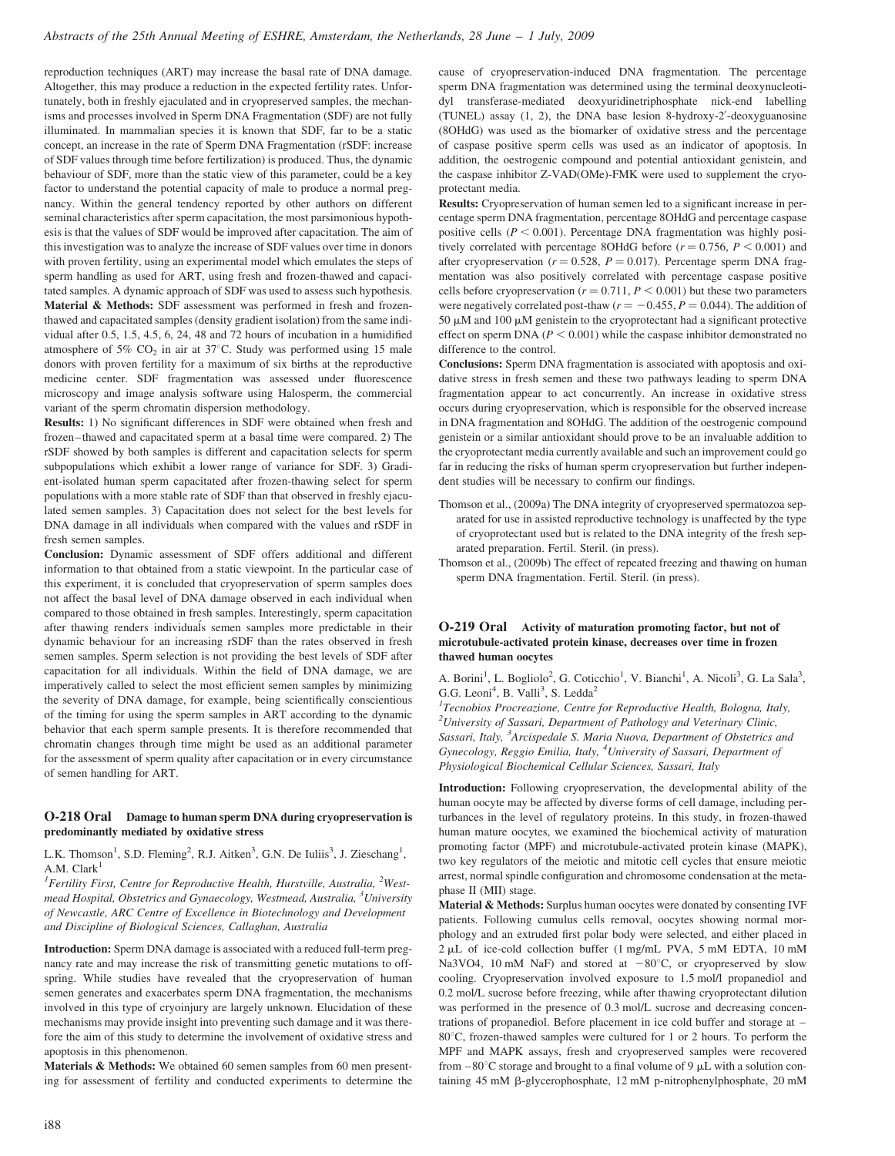reproduction techniques (ART) may increase the basal rate of DNA damage. Altogether, this may produce a reduction in the expected fertility rates. Unfortunately, both in freshly ejaculated and in cryopreserved samples, the mechanisms and processes involved in Sperm DNA Fragmentation (SDF) are not fully illuminated. In mammalian species it is known that SDF, far to be a static concept, an increase in the rate of Sperm DNA Fragmentation (rSDF: increase of SDF values through time before fertilization) is produced. Thus, the dynamic behaviour of SDF, more than the static view of this parameter, could be a key factor to understand the potential capacity of male to produce a normal pregnancy. Within the general tendency reported by other authors on different seminal characteristics after sperm capacitation, the most parsimonious hypothesis is that the values of SDF would be improved after capacitation. The aim of this investigation was to analyze the increase of SDF values over time in donors with proven fertility, using an experimental model which emulates the steps of sperm handling as used for ART, using fresh and frozen-thawed and capacitated samples. A dynamic approach of SDF was used to assess such hypothesis. Material & Methods: SDF assessment was performed in fresh and frozenthawed and capacitated samples (density gradient isolation) from the same individual after 0.5, 1.5, 4.5, 6, 24, 48 and 72 hours of incubation in a humidified atmosphere of 5%  $CO<sub>2</sub>$  in air at 37°C. Study was performed using 15 male donors with proven fertility for a maximum of six births at the reproductive medicine center. SDF fragmentation was assessed under fluorescence microscopy and image analysis software using Halosperm, the commercial variant of the sperm chromatin dispersion methodology.

Results: 1) No significant differences in SDF were obtained when fresh and frozen–thawed and capacitated sperm at a basal time were compared. 2) The rSDF showed by both samples is different and capacitation selects for sperm subpopulations which exhibit a lower range of variance for SDF. 3) Gradient-isolated human sperm capacitated after frozen-thawing select for sperm populations with a more stable rate of SDF than that observed in freshly ejaculated semen samples. 3) Capacitation does not select for the best levels for DNA damage in all individuals when compared with the values and rSDF in fresh semen samples.

Conclusion: Dynamic assessment of SDF offers additional and different information to that obtained from a static viewpoint. In the particular case of this experiment, it is concluded that cryopreservation of sperm samples does not affect the basal level of DNA damage observed in each individual when compared to those obtained in fresh samples. Interestingly, sperm capacitation after thawing renders individuals semen samples more predictable in their dynamic behaviour for an increasing rSDF than the rates observed in fresh semen samples. Sperm selection is not providing the best levels of SDF after capacitation for all individuals. Within the field of DNA damage, we are imperatively called to select the most efficient semen samples by minimizing the severity of DNA damage, for example, being scientifically conscientious of the timing for using the sperm samples in ART according to the dynamic behavior that each sperm sample presents. It is therefore recommended that chromatin changes through time might be used as an additional parameter for the assessment of sperm quality after capacitation or in every circumstance of semen handling for ART.

## O-218 Oral Damage to human sperm DNA during cryopreservation is predominantly mediated by oxidative stress

L.K. Thomson<sup>1</sup>, S.D. Fleming<sup>2</sup>, R.J. Aitken<sup>3</sup>, G.N. De Iuliis<sup>3</sup>, J. Zieschang<sup>1</sup>, A.M.  $Clark<sup>1</sup>$ 

<sup>1</sup>Fertility First, Centre for Reproductive Health, Hurstville, Australia, <sup>2</sup>Westmead Hospital, Obstetrics and Gynaecology, Westmead, Australia, <sup>3</sup>University of Newcastle, ARC Centre of Excellence in Biotechnology and Development and Discipline of Biological Sciences, Callaghan, Australia

Introduction: Sperm DNA damage is associated with a reduced full-term pregnancy rate and may increase the risk of transmitting genetic mutations to offspring. While studies have revealed that the cryopreservation of human semen generates and exacerbates sperm DNA fragmentation, the mechanisms involved in this type of cryoinjury are largely unknown. Elucidation of these mechanisms may provide insight into preventing such damage and it was therefore the aim of this study to determine the involvement of oxidative stress and apoptosis in this phenomenon.

Materials & Methods: We obtained 60 semen samples from 60 men presenting for assessment of fertility and conducted experiments to determine the cause of cryopreservation-induced DNA fragmentation. The percentage sperm DNA fragmentation was determined using the terminal deoxynucleotidyl transferase-mediated deoxyuridinetriphosphate nick-end labelling (TUNEL) assay (1, 2), the DNA base lesion 8-hydroxy-2'-deoxyguanosine (8OHdG) was used as the biomarker of oxidative stress and the percentage of caspase positive sperm cells was used as an indicator of apoptosis. In addition, the oestrogenic compound and potential antioxidant genistein, and the caspase inhibitor Z-VAD(OMe)-FMK were used to supplement the cryoprotectant media.

Results: Cryopreservation of human semen led to a significant increase in percentage sperm DNA fragmentation, percentage 8OHdG and percentage caspase positive cells ( $P < 0.001$ ). Percentage DNA fragmentation was highly positively correlated with percentage 8OHdG before  $(r = 0.756, P \le 0.001)$  and after cryopreservation ( $r = 0.528$ ,  $P = 0.017$ ). Percentage sperm DNA fragmentation was also positively correlated with percentage caspase positive cells before cryopreservation ( $r = 0.711$ ,  $P < 0.001$ ) but these two parameters were negatively correlated post-thaw ( $r = -0.455$ ,  $P = 0.044$ ). The addition of 50  $\mu$ M and 100  $\mu$ M genistein to the cryoprotectant had a significant protective effect on sperm DNA ( $P < 0.001$ ) while the caspase inhibitor demonstrated no difference to the control.

Conclusions: Sperm DNA fragmentation is associated with apoptosis and oxidative stress in fresh semen and these two pathways leading to sperm DNA fragmentation appear to act concurrently. An increase in oxidative stress occurs during cryopreservation, which is responsible for the observed increase in DNA fragmentation and 8OHdG. The addition of the oestrogenic compound genistein or a similar antioxidant should prove to be an invaluable addition to the cryoprotectant media currently available and such an improvement could go far in reducing the risks of human sperm cryopreservation but further independent studies will be necessary to confirm our findings.

- Thomson et al., (2009a) The DNA integrity of cryopreserved spermatozoa separated for use in assisted reproductive technology is unaffected by the type of cryoprotectant used but is related to the DNA integrity of the fresh separated preparation. Fertil. Steril. (in press).
- Thomson et al., (2009b) The effect of repeated freezing and thawing on human sperm DNA fragmentation. Fertil. Steril. (in press).

## O-219 Oral Activity of maturation promoting factor, but not of microtubule-activated protein kinase, decreases over time in frozen thawed human oocytes

A. Borini<sup>1</sup>, L. Bogliolo<sup>2</sup>, G. Coticchio<sup>1</sup>, V. Bianchi<sup>1</sup>, A. Nicoli<sup>3</sup>, G. La Sala<sup>3</sup>, G.G. Leoni<sup>4</sup>, B. Valli<sup>3</sup>, S. Ledda<sup>2</sup>

<sup>1</sup>Tecnobios Procreazione, Centre for Reproductive Health, Bologna, Italy,  $2$ University of Sassari, Department of Pathology and Veterinary Clinic, Sassari, Italy, <sup>3</sup>Arcispedale S. Maria Nuova, Department of Obstetrics and Gynecology, Reggio Emilia, Italy, <sup>4</sup>University of Sassari, Department of Physiological Biochemical Cellular Sciences, Sassari, Italy

Introduction: Following cryopreservation, the developmental ability of the human oocyte may be affected by diverse forms of cell damage, including perturbances in the level of regulatory proteins. In this study, in frozen-thawed human mature oocytes, we examined the biochemical activity of maturation promoting factor (MPF) and microtubule-activated protein kinase (MAPK), two key regulators of the meiotic and mitotic cell cycles that ensure meiotic arrest, normal spindle configuration and chromosome condensation at the metaphase II (MII) stage.

Material & Methods: Surplus human oocytes were donated by consenting IVF patients. Following cumulus cells removal, oocytes showing normal morphology and an extruded first polar body were selected, and either placed in  $2 \mu L$  of ice-cold collection buffer (1 mg/mL PVA, 5 mM EDTA, 10 mM Na3VO4, 10 mM NaF) and stored at  $-80^{\circ}$ C, or cryopreserved by slow cooling. Cryopreservation involved exposure to 1.5 mol/l propanediol and 0.2 mol/L sucrose before freezing, while after thawing cryoprotectant dilution was performed in the presence of  $0.3 \text{ mol/L}$  sucrose and decreasing concentrations of propanediol. Before placement in ice cold buffer and storage at – 80°C, frozen-thawed samples were cultured for 1 or 2 hours. To perform the MPF and MAPK assays, fresh and cryopreserved samples were recovered from  $-80^{\circ}$ C storage and brought to a final volume of 9  $\mu$ L with a solution containing 45 mM  $\beta$ -glycerophosphate, 12 mM p-nitrophenylphosphate, 20 mM